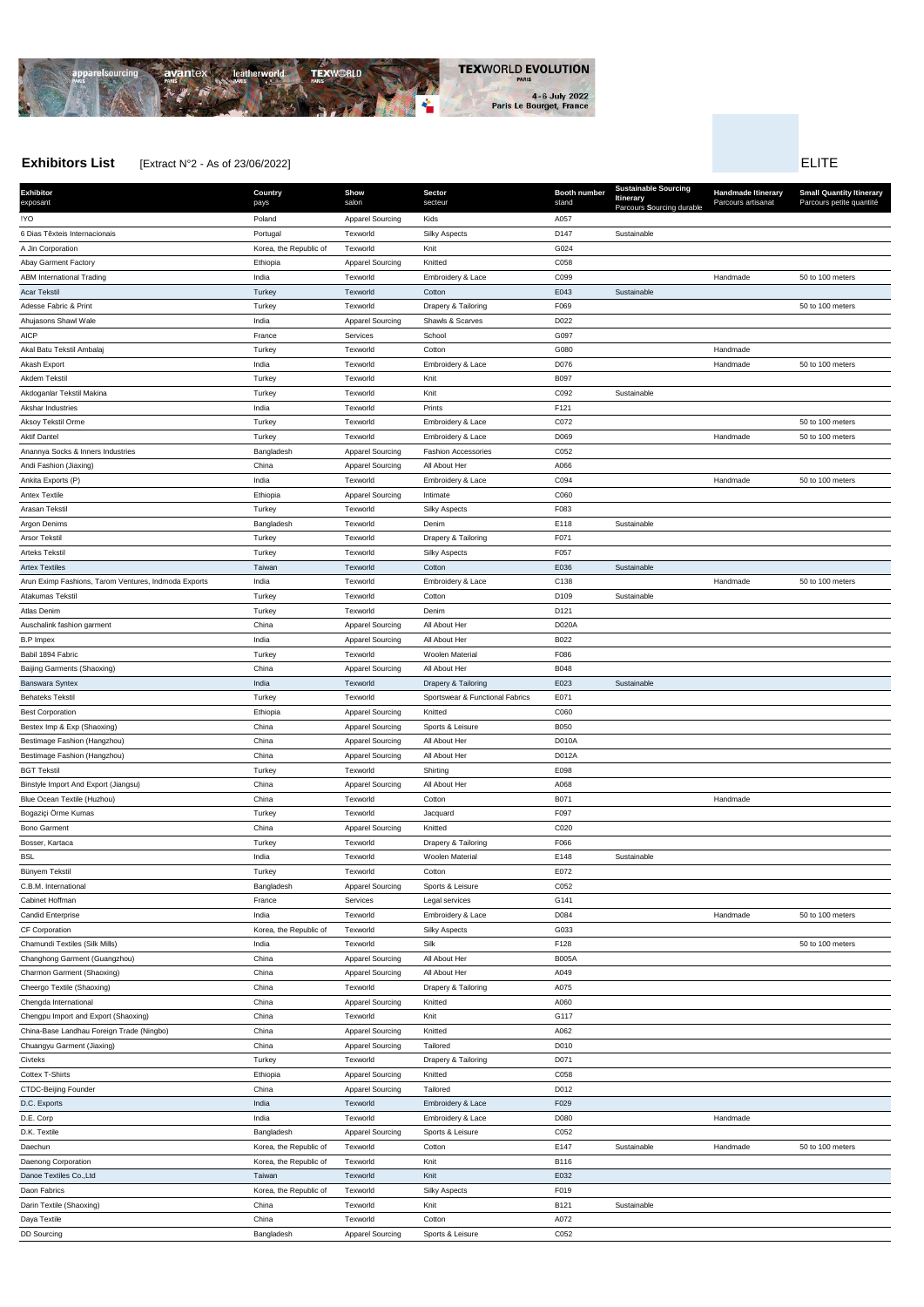

Charmon Garment (Shaoxing) and China China China Apparel Sourcing All About Her A049

## **Exhibitors List** Extract N°2 - As of 23/06/2022] ELITE

**Exhibitor** exposant **Country** pays **Show** salon **Sector** secteur **Booth number** stand **Sustainable Sourcing Itinerary** Parcours **S**ourcing durable **Handmade Itinerary** Parcours artisanat **Small Quantity Itinerary** Parcours petite quantité !YO Poland Apparel Sourcing Kids A057 6 Dias Têxteis Internacionais Portugal Texworld Silky Aspects D147 Sustainable A Jin Corporation **Alternation Contact A Corea, the Republic of Texworld Knit Knit Collect A Collect A Collect A** Abay Garment Factory **Abay Garment Factory CO58** Ethiopia **Apparel Sourcing Knitted** CO58 ABM International Trading Subsectional Trading India Texworld Embroidery & Lace C099 CO99 Handmade 50 to 100 meters Acar Tekstil Controller Controller Controller Controller Controller Controller Controller Controller Controller Adesse Fabric & Print Turkey Turkey Texworld Drapery & Tailoring F069 F069 50 to 100 meters 50 to 100 meters Ahujasons Shawl Wale **India** India **Apparel Sourcing Shawls & Scarves** D022 AICP France Services Services Services School Services School School G097 Akal Batu Tekstil Ambalaj Turkey Texworld Cotton G080 Handmade Akash Export the Subsection of the Subsection of the Texworld Embroidery & Lace No. 2016 D076 Handmade 50 to 100 meters Akdem Tekstil Turkey Texworld Knit B097 Akdoganlar Tekstil Makina Turkey Texworld Knit C092 Sustainable Akshar Industries **India** India **India Texworld Prints** Prints **F121** Aksoy Tekstil Orme Turkey Texworld Embroidery & Lace 50 to 100 meters Aktif Dantel School Handmade 50 to 100 meters Turkey Texworld Embroidery & Lace D069 D069 Handmade 50 to 100 meters Anannya Socks & Inners Industries **Bangladesh Bangladesh Apparel Sourcing** Fashion Accessories C052 Andi Fashion (Jiaxing) **China** China Apparel Sourcing All About Her A066 Apparel Sourcing All About Her A066 Ankita Exports (P) India Texworld Embroidery & Lace C094 Handmade 50 to 100 meters Antex Textile **According COSO** Ethiopia **COSO** Apparel Sourcing Intimate COSO COSO Arasan Tekstil Turkey Texworld Silky Aspects F083 Argon Denims and the Sustainable Sustainable Bangladesh Texworld Denim Number 2018 E118 Sustainable Arsor Tekstil **Article Community Community Community** Turkey Texture Texworld Drapery & Tailoring F071 Arteks Tekstil Turkey Texworld Silky Aspects F057 Artex Textiles Taiwan Texworld Cotton E036 Sustainable Arun Eximp Fashions, Tarom Ventures, Indmoda Exports India **India** Texworld Embroidery & Lace C138 C138 Handmade 50 to 100 meters Atakumas Tekstil Turkey Texworld Cotton D109 Sustainable Atlas Denim Turkey Texworld Denim D121 Auschalink fashion garment **China** China China Apparel Sourcing All About Her D020A B.P Impex BO22 Babil 1894 Fabric Turkey Texworld Woolen Material F086 Baijing Garments (Shaoxing) and China China Apparel Sourcing All About Her B048 Banswara Syntex India Texworld Drapery & Tailoring E023 Sustainable Behateks Tekstil **EDITE:** Turkey Texworld Sportswear & Functional Fabrics E071 est Corporation **Ethiopia** Ethiopia Apparel Sourcing Knitted C060 C060 Bestex Imp & Exp (Shaoxing) and Boso China China Apparel Sourcing Sports & Leisure Boso Boso Bestimage Fashion (Hangzhou) and China China Apparel Sourcing All About Her D010A Bestimage Fashion (Hangzhou) and China China Apparel Sourcing All About Her D012A BGT Tekstil Turkey Texworld Shirting E098 Binstyle Import And Export (Jiangsu) China Apparel Sourcing All About Her A068 Blue Ocean Textile (Huzhou) and the China China Cotton Cotton Cotton Cotton B071 Handmade Bogaziçi Örme Kumas Turkey Turkey Texworld and Jacquard Texture of Texture of Texture of Texture of Texture of Texture of Texture of Texture of Texture of Texture of Texture of Texture of Texture of Texture of Texture of T Bono Garment **China** China **China** Apparel Sourcing Knitted C020 C020 Bosser, Kartaca **Turkey Texworld Drapery & Tailoring Form** Conserved Drapery & Tailoring FO66 BSL India Texworld Woolen Material E148 Sustainable Bünyem Tekstil Turkey Texworld Cotton E072 C.B.M. International **Bangladesh Bangladesh Apparel Sourcing** Sports & Leisure C052 Cabinet Hoffman France Services Legal services G141 Candid Enterprise **India** India **India Texworld Embroidery & Lace Candid Embroidery Conducts and Handmade 50 to 100 meters** CF Corporation **CF Corporation** COS33 Chamundi Textiles (Silk Mills) **Silk Francische Chambus Chambus Chambus Chambus Chambus Chambus Chambus Chambus Chambus Chambus Chambus Chambus Chambus Silk F128 50 to 100 meters** Changhong Garment (Guangzhou) and China China Apparel Sourcing All About Her B005A

| China                  | Texworld                | Drapery & Tailoring  | A075        |             |          |                  |
|------------------------|-------------------------|----------------------|-------------|-------------|----------|------------------|
| China                  | <b>Apparel Sourcing</b> | Knitted              | A060        |             |          |                  |
| China                  | Texworld                | Knit                 | G117        |             |          |                  |
| China                  | <b>Apparel Sourcing</b> | Knitted              | A062        |             |          |                  |
| China                  | <b>Apparel Sourcing</b> | Tailored             | D010        |             |          |                  |
| Turkey                 | Texworld                | Drapery & Tailoring  | D071        |             |          |                  |
| Ethiopia               | <b>Apparel Sourcing</b> | Knitted              | C058        |             |          |                  |
| China                  | <b>Apparel Sourcing</b> | Tailored             | D012        |             |          |                  |
| India                  | Texworld                | Embroidery & Lace    | F029        |             |          |                  |
| India                  | Texworld                | Embroidery & Lace    | D080        |             | Handmade |                  |
| Bangladesh             | <b>Apparel Sourcing</b> | Sports & Leisure     | C052        |             |          |                  |
| Korea, the Republic of | Texworld                | Cotton               | E147        | Sustainable | Handmade | 50 to 100 meters |
| Korea, the Republic of | Texworld                | Knit                 | <b>B116</b> |             |          |                  |
| Taiwan                 | Texworld                | Knit                 | E032        |             |          |                  |
| Korea, the Republic of | Texworld                | <b>Silky Aspects</b> | F019        |             |          |                  |
| China                  | Texworld                | Knit                 | B121        | Sustainable |          |                  |
| China                  | Texworld                | Cotton               | A072        |             |          |                  |
| Bangladesh             | <b>Apparel Sourcing</b> | Sports & Leisure     | C052        |             |          |                  |
|                        |                         |                      |             |             |          |                  |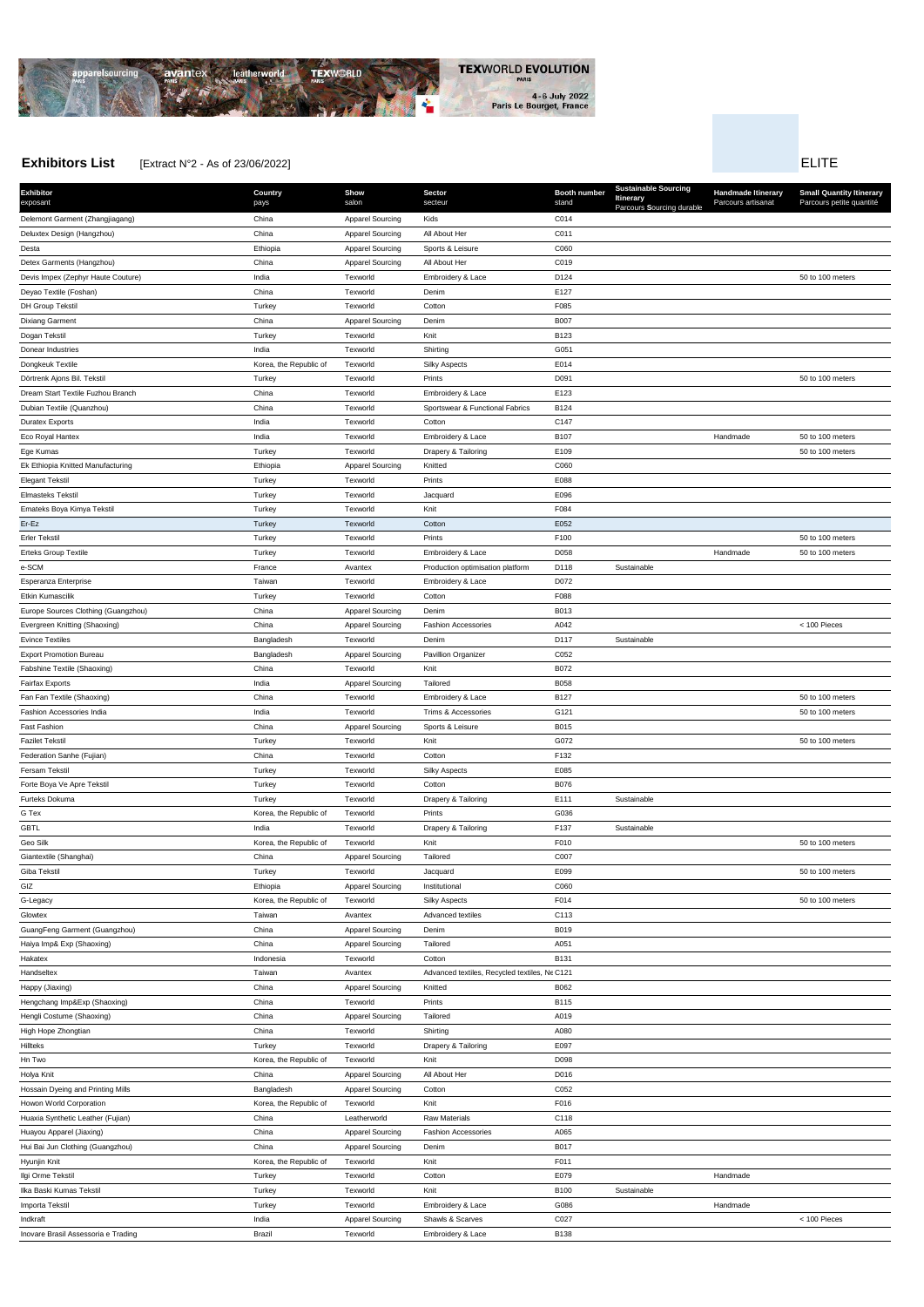

Hakatex Indonesia Texworld Cotton B131 Handseltex **Taiwan** Taiwan Avantex Advanced textiles, Recycled textiles, NeC121

# **Exhibitors List** Extract N°2 - As of 23/06/2022] **ELITE**

**Exhibitor** exposant **Country** pays **Show** salon **Sector** secteur **Booth number** stand **Sustainable Sourcing Itinerary** Parcours **S**ourcing durable **Handmade Itinerary** Parcours artisanat **Small Quantity Itinerary** Parcours petite quantité Delemont Garment (Zhangjiagang) and China China Apparel Sourcing Kids Col<sup>4</sup> Col<sup>4</sup> Deluxtex Design (Hangzhou) China Apparel Sourcing All About Her C011 Desta Ethiopia Apparel Sourcing Sports & Leisure C060 Detex Garments (Hangzhou) China Apparel Sourcing All About Her C019 Devis Impex (Zephyr Haute Couture) **India** India Texworld Embroidery & Lace D124 50 to 100 meters 50 to 100 meters Deyao Textile (Foshan) China Texworld Denim E127 DH Group Tekstil **Turkey Contract Contract Contract Contract Contract Contract Contract Contract Contract Contract Contract Contract Contract Contract Contract Contract Contract Contract Contract Contract Contract Contract** Dixiang Garment China Apparel Sourcing Denim B007 Dogan Tekstil Turkey Texworld Knit B123 Donear Industries **COST** COST COST India Texworld Shirting Shirting GOST Dongkeuk Textile **Korea, the Republic of Texworld** Silky Aspects E014 Dörtrenk Ajons Bil. Tekstil Subsetted Turkey Texworld Prints Companies and D091 50 to 100 meters 50 to 100 meters Dream Start Textile Fuzhou Branch China Texworld Embroidery & Lace E123 Dubian Textile (Quanzhou) China Texworld Sportswear & Functional Fabrics B124 Duratex Exports India Texworld Cotton C147 Eco Royal Hantex 20 to 100 meters and the Texworld Texworld Embroidery & Lace 20 B107 Handmade 50 to 100 meters Ege Kumas Turkey Texworld Drapery & Tailoring E109 50 to 100 meters Ex Ethiopia Knitted Manufacturing The Coso Coso Ethiopia Apparel Sourcing Knitted CO60 Elegant Tekstil Turkey Texworld Prints E088 Elmasteks Tekstil Turkey Texworld Jacquard E096 Emateks Boya Kimya Tekstil **Emateks Boya Kimya Textus Turkey** Turkey Texworld Texworld Knit Knit F084 Er-Ez Turkey Texworld Cotton E052 Erler Tekstil Turkey Texworld Prints F100 50 to 100 meters Erteks Group Textile **Turkey Texworld Embroidery & Lace** D058 D058 Handmade 50 to 100 meters e-SCM **EXALL EXALL EXALL EXALL EXALL EXALL EXALL EXALL EXALL EXALL EXALL EXALL EXALL EXALL EXALL EXALL EXALL EXA**<br>Production optimisation platform D118 Sustainable Esperanza Enterprise Taiwan Texworld Embroidery & Lace D072 Etkin Kumascilik Turkey Texworld Cotton F088 Europe Sources Clothing (Guangzhou) China Apparel Sourcing Denim B013 Evergreen Knitting (Shaoxing) **China** China Apparel Sourcing Fashion Accessories A042 < 100 Pieces Evince Textiles Bangladesh Texworld Denim D117 Sustainable Export Promotion Bureau **Bangladesh Bangladesh Apparel Sourcing** Pavillion Organizer C052 Fabshine Textile (Shaoxing) China Texworld Knit B072 Fairfax Exports **India India** Apparel Sourcing Tailored B058 Fan Fan Textile (Shaoxing) 60 to 100 meters China China Texworld Embroidery & Lace B127 50 to 100 meters 50 to 100 meters Fashion Accessories India **India** India Texworld Trims & Accessories G121 6121 6121 50 to 100 meters 50 to 100 meters Fast Fashion China Apparel Sourcing Sports & Leisure B015 Fazilet Tekstil Turkey Texworld Knit G072 50 to 100 meters Federation Sanhe (Fujian) China Texworld Cotton F132 Fersam Tekstil Turkey Texworld Silky Aspects E085 Forte Boya Ve Apre Tekstil **Example 2001** Turkey Texture of Texworld Cotton Cotton B076 Furteks Dokuma **Turkey** Turkey Texworld Drapery & Tailoring E111 Sustainable G Tex G036 Corea, the Republic of Texworld Prints Prints G036 GBTL India Texworld Drapery & Tailoring F137 Sustainable Geo Silk Corea, the Republic of Texworld Knit Knit F010 F010 50 to 100 meters 50 to 100 meters Giantextile (Shanghai) **China** China Apparel Sourcing Tailored C007 Giba Tekstil Turkey Texworld Jacquard E099 50 to 100 meters GIZ **Ethiopia Ethiopia** Apparel Sourcing Institutional CO60 G-Legacy Servey School (State Republic of Texworld Silky Aspects F014 50 to 100 meters 50 to 100 meters 50 to 100 meters Glowtex **Taiwan Avantex Advanced textiles** C113 GuangFeng Garment (Guangzhou) and China China Apparel Sourcing Denim Denim B019 Haiya Imp& Exp (Shaoxing) China Apparel Sourcing Tailored A051

| Happy (Jiaxing)                     | China                  | <b>Apparel Sourcing</b> | Knitted                    | B062        |             |          |                |
|-------------------------------------|------------------------|-------------------------|----------------------------|-------------|-------------|----------|----------------|
| Hengchang Imp&Exp (Shaoxing)        | China                  | Texworld                | Prints                     | B115        |             |          |                |
| Hengli Costume (Shaoxing)           | China                  | <b>Apparel Sourcing</b> | Tailored                   | A019        |             |          |                |
| High Hope Zhongtian                 | China                  | Texworld                | Shirting                   | A080        |             |          |                |
| Hillteks                            | Turkey                 | Texworld                | Drapery & Tailoring        | E097        |             |          |                |
| Hn Two                              | Korea, the Republic of | Texworld                | Knit                       | D098        |             |          |                |
| Holya Knit                          | China                  | <b>Apparel Sourcing</b> | All About Her              | D016        |             |          |                |
| Hossain Dyeing and Printing Mills   | Bangladesh             | <b>Apparel Sourcing</b> | Cotton                     | C052        |             |          |                |
| Howon World Corporation             | Korea, the Republic of | Texworld                | Knit                       | F016        |             |          |                |
| Huaxia Synthetic Leather (Fujian)   | China                  | Leatherworld            | <b>Raw Materials</b>       | C118        |             |          |                |
| Huayou Apparel (Jiaxing)            | China                  | <b>Apparel Sourcing</b> | <b>Fashion Accessories</b> | A065        |             |          |                |
| Hui Bai Jun Clothing (Guangzhou)    | China                  | <b>Apparel Sourcing</b> | Denim                      | <b>B017</b> |             |          |                |
| Hyunjin Knit                        | Korea, the Republic of | Texworld                | Knit                       | F011        |             |          |                |
| Ilgi Orme Tekstil                   | Turkey                 | Texworld                | Cotton                     | E079        |             | Handmade |                |
| Ilka Baski Kumas Tekstil            | Turkey                 | Texworld                | Knit                       | <b>B100</b> | Sustainable |          |                |
| Importa Tekstil                     | Turkey                 | Texworld                | Embroidery & Lace          | G086        |             | Handmade |                |
| Indkraft                            | India                  | <b>Apparel Sourcing</b> | Shawls & Scarves           | C027        |             |          | $<$ 100 Pieces |
| Inovare Brasil Assessoria e Trading | Brazil                 | Texworld                | Embroidery & Lace          | <b>B138</b> |             |          |                |
|                                     |                        |                         |                            |             |             |          |                |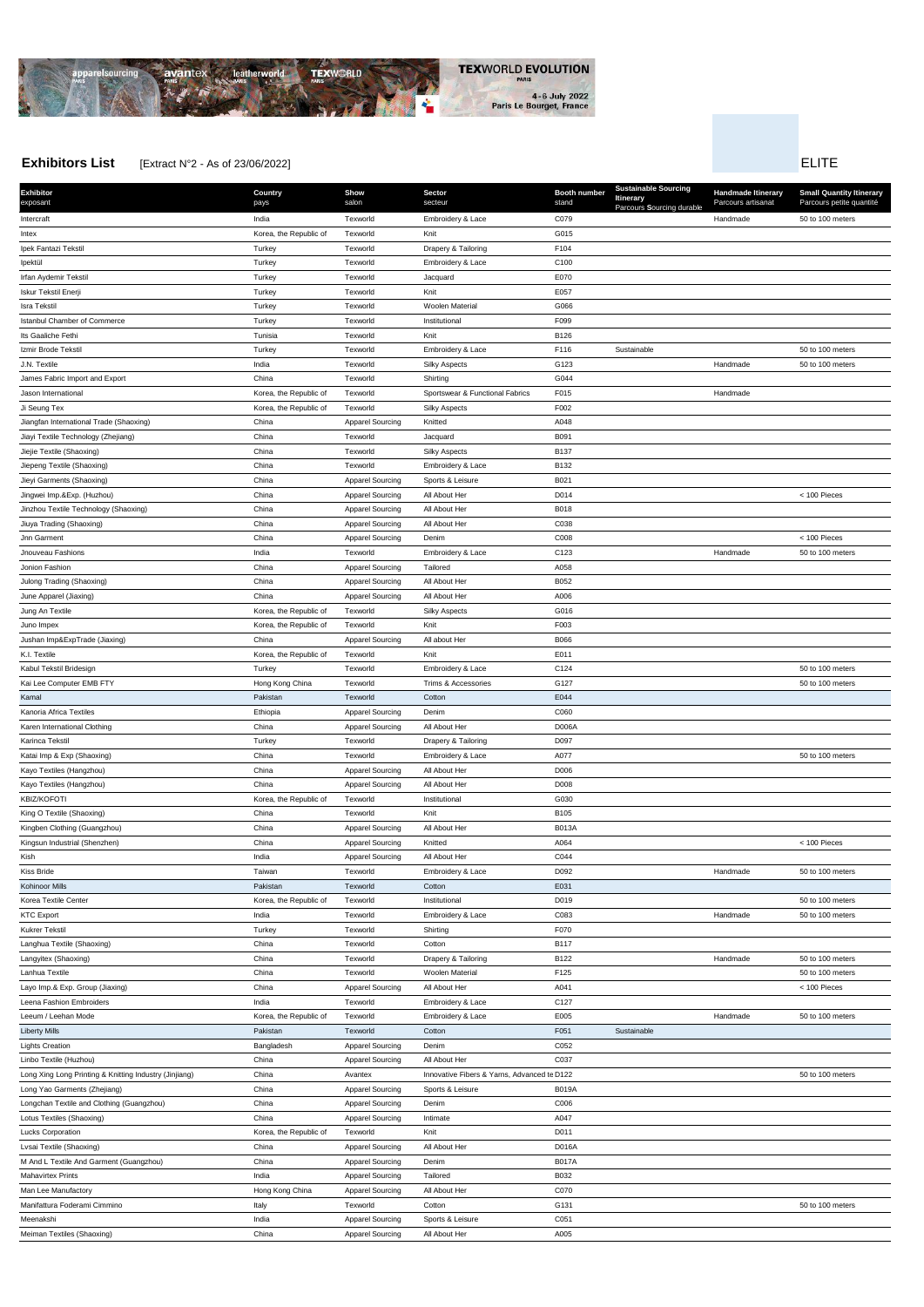**Exhibitor** exposant **Country** pays **Show** salon **Sector** secteur **Booth number** stand **Sustainable Sourcing Itinerary** Parcours **S**ourcing durable **Handmade Itinerary** Parcours artisanat **Small Quantity Itinerary** Parcours petite quantité Intercraft Subsection Muslim Controllery Access of Compared Compared Compared the Compared Handmade 50 to 100 meters Intex **Internal Constructs** Correspondent Morea, the Republic of Texworld Knit Knit G015 Ipek Fantazi Tekstil **Interpretational Turkey Community** Turkey Text Texworld Drapery & Tailoring F104 Ipektül Turkey Texworld Embroidery & Lace C100 Irfan Aydemir Tekstil Turkey Texworld Jacquard E070 Iskur Tekstil Enerji **E057** Currey Turkey Texworld Texworld Knit Knit E057 Isra Tekstil Turkey Texworld Woolen Material G066 Istanbul Chamber of Commerce Turkey Turkey Texworld Texworld Institutional Institutional F099 Its Gaaliche Fethi Tunisia Texworld Knit B126 Izmir Brode Tekstil Number Solto 100 meters Texworld Turkey Texworld Embroidery & Lace F116 Sustainable 50 to 100 meters 50 to 100 meters J.N. Textile India Texworld Silky Aspects G123 Handmade 50 to 100 meters James Fabric Import and Export China Texworld Shirting G044 Jason International **Subset Corea, the Republic of** Texworld Sportswear & Functional Fabrics F015 Handmade Handmade Ji Seung Tex **Share Text Corea, the Republic of** Texworld Silky Aspects F002 Jiangfan International Trade (Shaoxing) China Apparel Sourcing Knitted A048 Jiayi Textile Technology (Zhejiang) China Texworld Jacquard B091 Jiejie Textile (Shaoxing) **China** China Texworld Silky Aspects B137 Jiepeng Textile (Shaoxing) and China China Texworld Embroidery & Lace B132 Jieyi Garments (Shaoxing) China Apparel Sourcing Sports & Leisure B021 Jingwei Imp.&Exp. (Huzhou) **China** China Apparel Sourcing All About Her D014 D014 < 100 Pieces Jinzhou Textile Technology (Shaoxing) and Shina China Apparel Sourcing All About Her B018 Jiuya Trading (Shaoxing) **China** China China Apparel Sourcing All About Her C038 Jnn Garment China Apparel Sourcing Denim C008 < 100 Pieces Jnouveau Fashions India Texworld Embroidery & Lace C123 Handmade 50 to 100 meters Jonion Fashion China Apparel Sourcing Tailored A058 Julong Trading (Shaoxing) **China** China Apparel Sourcing All About Her B052 June Apparel (Jiaxing) China Apparel Sourcing All About Her A006 Jung An Textile Korea, the Republic of Texworld Silky Aspects G016 Juno Impex **Example 2** Corea, the Republic of Texworld Knit Knit F003 Jushan Imp&ExpTrade (Jiaxing) and China China China Apparel Sourcing All about Her B066 K.I. Textile E011 Corea, the Republic of Texworld Knit Knit E011 Kabul Tekstil Bridesign Turkey Texworld Embroidery & Lace 50 to 100 meters Kai Lee Computer EMB FTY **EXECUTER COMPUTER HONG KONG China** Texworld Trims & Accessories G127 50 to 100 meters Kamal Pakistan Texworld Cotton E044 **Kanoria Africa Textiles** CO60 **CO60 Ethiopia** CO60 **CO60 Ethiopia** Apparel Sourcing Denim CO60 Karen International Clothing The China China China Apparel Sourcing All About Her China D006A Karinca Tekstil **Marting Compared Turkey Compared Textual Textual Comparent Drapery & Tailoring DO97** DO97 Katai Imp & Exp (Shaoxing) 60 to 100 meters China China Texworld Embroidery & Lace A077 And A077 50 to 100 meters Kayo Textiles (Hangzhou) **China** China Apparel Sourcing All About Her D006 **Kayo Textiles (Hangzhou)** The China China Apparel Sourcing All About Her D008 KBIZ/KOFOTI **KOREA CONSISTED SEE A CONSISTENT CONSISTENT** Korea, the Republic of Texworld Institutional **COSO** GO30 King O Textile (Shaoxing) and China China Texworld China China Texworld Knit B105 Kingben Clothing (Guangzhou) and China China Apparel Sourcing All About Her B013A Kingsun Industrial (Shenzhen) **China** China Apparel Sourcing Knitted **And Apparel Sourcing Knitted** A064 < 100 Pieces **Kish Example 2018** India Apparel Sourcing All About Her C044 Kiss Bride Sommer School (State Taiwan Texworld Texworld Embroidery & Lace No. 20092 D092 Handmade 50 to 100 meters Kohinoor Mills Pakistan Texworld Cotton E031 Korea Textile Center **Korea, the Republic of Texworld** Institutional **D019** D019 50 to 100 meters 50 to 100 meters KTC Export Construction Construction of the Text India Texworld Embroidery & Lace C083 CO83 Handmade 50 to 100 meters Kukrer Tekstil Turkey Texworld Shirting F070



Langhua Textile (Shaoxing) China Texworld Cotton B117

## **Exhibitors List** Extract N°2 - As of 23/06/2022] ELITE

| C127<br>Leena Fashion Embroiders<br>India<br>Embroidery & Lace<br>Texworld<br>Leeum / Leehan Mode<br>Korea, the Republic of<br>Embroidery & Lace<br>E005<br>50 to 100 meters<br>Texworld<br>Handmade<br><b>Liberty Mills</b><br>Sustainable<br>Pakistan<br>Cotton<br>F051<br>Texworld<br><b>Lights Creation</b><br><b>Apparel Sourcing</b><br>Denim<br>C052<br>Bangladesh<br>Linbo Textile (Huzhou)<br>China<br><b>Apparel Sourcing</b><br>All About Her<br>C037<br>China<br>Innovative Fibers & Yarns, Advanced te D122<br>Long Xing Long Printing & Knitting Industry (Jinjiang)<br>50 to 100 meters<br>Avantex<br>China<br><b>Apparel Sourcing</b><br>Sports & Leisure<br><b>B019A</b><br>Long Yao Garments (Zhejiang)<br>Longchan Textile and Clothing (Guangzhou)<br>China<br><b>Apparel Sourcing</b><br>Denim<br>C006<br>Lotus Textiles (Shaoxing)<br>China<br><b>Apparel Sourcing</b><br>A047<br>Intimate<br>Knit<br>D011<br><b>Lucks Corporation</b><br>Korea, the Republic of<br>Texworld<br>China<br>Lvsai Textile (Shaoxing)<br><b>Apparel Sourcing</b><br>All About Her<br>D016A<br>M And L Textile And Garment (Guangzhou)<br><b>Apparel Sourcing</b><br>China<br>Denim<br><b>B017A</b><br><b>Mahavirtex Prints</b><br><b>Apparel Sourcing</b><br>Tailored<br>B032<br>India<br>Hong Kong China<br><b>Apparel Sourcing</b><br>C070<br>Man Lee Manufactory<br>All About Her<br>Manifattura Foderami Cimmino<br>Cotton<br>G131<br>50 to 100 meters<br>Italy<br>Texworld<br>C051<br>Meenakshi<br>India<br><b>Apparel Sourcing</b><br>Sports & Leisure<br>Meiman Textiles (Shaoxing)<br>China<br>Apparel Sourcing<br>All About Her<br>A005 | Layo Imp.& Exp. Group (Jiaxing) | China | <b>Apparel Sourcing</b> | All About Her | A041 |  | $<$ 100 Pieces |
|----------------------------------------------------------------------------------------------------------------------------------------------------------------------------------------------------------------------------------------------------------------------------------------------------------------------------------------------------------------------------------------------------------------------------------------------------------------------------------------------------------------------------------------------------------------------------------------------------------------------------------------------------------------------------------------------------------------------------------------------------------------------------------------------------------------------------------------------------------------------------------------------------------------------------------------------------------------------------------------------------------------------------------------------------------------------------------------------------------------------------------------------------------------------------------------------------------------------------------------------------------------------------------------------------------------------------------------------------------------------------------------------------------------------------------------------------------------------------------------------------------------------------------------------------------------------------------------------------------------------------------------------------|---------------------------------|-------|-------------------------|---------------|------|--|----------------|
|                                                                                                                                                                                                                                                                                                                                                                                                                                                                                                                                                                                                                                                                                                                                                                                                                                                                                                                                                                                                                                                                                                                                                                                                                                                                                                                                                                                                                                                                                                                                                                                                                                                    |                                 |       |                         |               |      |  |                |
|                                                                                                                                                                                                                                                                                                                                                                                                                                                                                                                                                                                                                                                                                                                                                                                                                                                                                                                                                                                                                                                                                                                                                                                                                                                                                                                                                                                                                                                                                                                                                                                                                                                    |                                 |       |                         |               |      |  |                |
|                                                                                                                                                                                                                                                                                                                                                                                                                                                                                                                                                                                                                                                                                                                                                                                                                                                                                                                                                                                                                                                                                                                                                                                                                                                                                                                                                                                                                                                                                                                                                                                                                                                    |                                 |       |                         |               |      |  |                |
|                                                                                                                                                                                                                                                                                                                                                                                                                                                                                                                                                                                                                                                                                                                                                                                                                                                                                                                                                                                                                                                                                                                                                                                                                                                                                                                                                                                                                                                                                                                                                                                                                                                    |                                 |       |                         |               |      |  |                |
|                                                                                                                                                                                                                                                                                                                                                                                                                                                                                                                                                                                                                                                                                                                                                                                                                                                                                                                                                                                                                                                                                                                                                                                                                                                                                                                                                                                                                                                                                                                                                                                                                                                    |                                 |       |                         |               |      |  |                |
|                                                                                                                                                                                                                                                                                                                                                                                                                                                                                                                                                                                                                                                                                                                                                                                                                                                                                                                                                                                                                                                                                                                                                                                                                                                                                                                                                                                                                                                                                                                                                                                                                                                    |                                 |       |                         |               |      |  |                |
|                                                                                                                                                                                                                                                                                                                                                                                                                                                                                                                                                                                                                                                                                                                                                                                                                                                                                                                                                                                                                                                                                                                                                                                                                                                                                                                                                                                                                                                                                                                                                                                                                                                    |                                 |       |                         |               |      |  |                |
|                                                                                                                                                                                                                                                                                                                                                                                                                                                                                                                                                                                                                                                                                                                                                                                                                                                                                                                                                                                                                                                                                                                                                                                                                                                                                                                                                                                                                                                                                                                                                                                                                                                    |                                 |       |                         |               |      |  |                |
|                                                                                                                                                                                                                                                                                                                                                                                                                                                                                                                                                                                                                                                                                                                                                                                                                                                                                                                                                                                                                                                                                                                                                                                                                                                                                                                                                                                                                                                                                                                                                                                                                                                    |                                 |       |                         |               |      |  |                |
|                                                                                                                                                                                                                                                                                                                                                                                                                                                                                                                                                                                                                                                                                                                                                                                                                                                                                                                                                                                                                                                                                                                                                                                                                                                                                                                                                                                                                                                                                                                                                                                                                                                    |                                 |       |                         |               |      |  |                |
|                                                                                                                                                                                                                                                                                                                                                                                                                                                                                                                                                                                                                                                                                                                                                                                                                                                                                                                                                                                                                                                                                                                                                                                                                                                                                                                                                                                                                                                                                                                                                                                                                                                    |                                 |       |                         |               |      |  |                |
|                                                                                                                                                                                                                                                                                                                                                                                                                                                                                                                                                                                                                                                                                                                                                                                                                                                                                                                                                                                                                                                                                                                                                                                                                                                                                                                                                                                                                                                                                                                                                                                                                                                    |                                 |       |                         |               |      |  |                |
|                                                                                                                                                                                                                                                                                                                                                                                                                                                                                                                                                                                                                                                                                                                                                                                                                                                                                                                                                                                                                                                                                                                                                                                                                                                                                                                                                                                                                                                                                                                                                                                                                                                    |                                 |       |                         |               |      |  |                |
|                                                                                                                                                                                                                                                                                                                                                                                                                                                                                                                                                                                                                                                                                                                                                                                                                                                                                                                                                                                                                                                                                                                                                                                                                                                                                                                                                                                                                                                                                                                                                                                                                                                    |                                 |       |                         |               |      |  |                |
|                                                                                                                                                                                                                                                                                                                                                                                                                                                                                                                                                                                                                                                                                                                                                                                                                                                                                                                                                                                                                                                                                                                                                                                                                                                                                                                                                                                                                                                                                                                                                                                                                                                    |                                 |       |                         |               |      |  |                |
|                                                                                                                                                                                                                                                                                                                                                                                                                                                                                                                                                                                                                                                                                                                                                                                                                                                                                                                                                                                                                                                                                                                                                                                                                                                                                                                                                                                                                                                                                                                                                                                                                                                    |                                 |       |                         |               |      |  |                |
|                                                                                                                                                                                                                                                                                                                                                                                                                                                                                                                                                                                                                                                                                                                                                                                                                                                                                                                                                                                                                                                                                                                                                                                                                                                                                                                                                                                                                                                                                                                                                                                                                                                    |                                 |       |                         |               |      |  |                |

Langyitex (Shaoxing) China Texworld Drapery & Tailoring B122 Handmade 50 to 100 meters Lanhua Textile China China Texworld Woolen Material F125 F125 60 to 100 meters 50 to 100 meters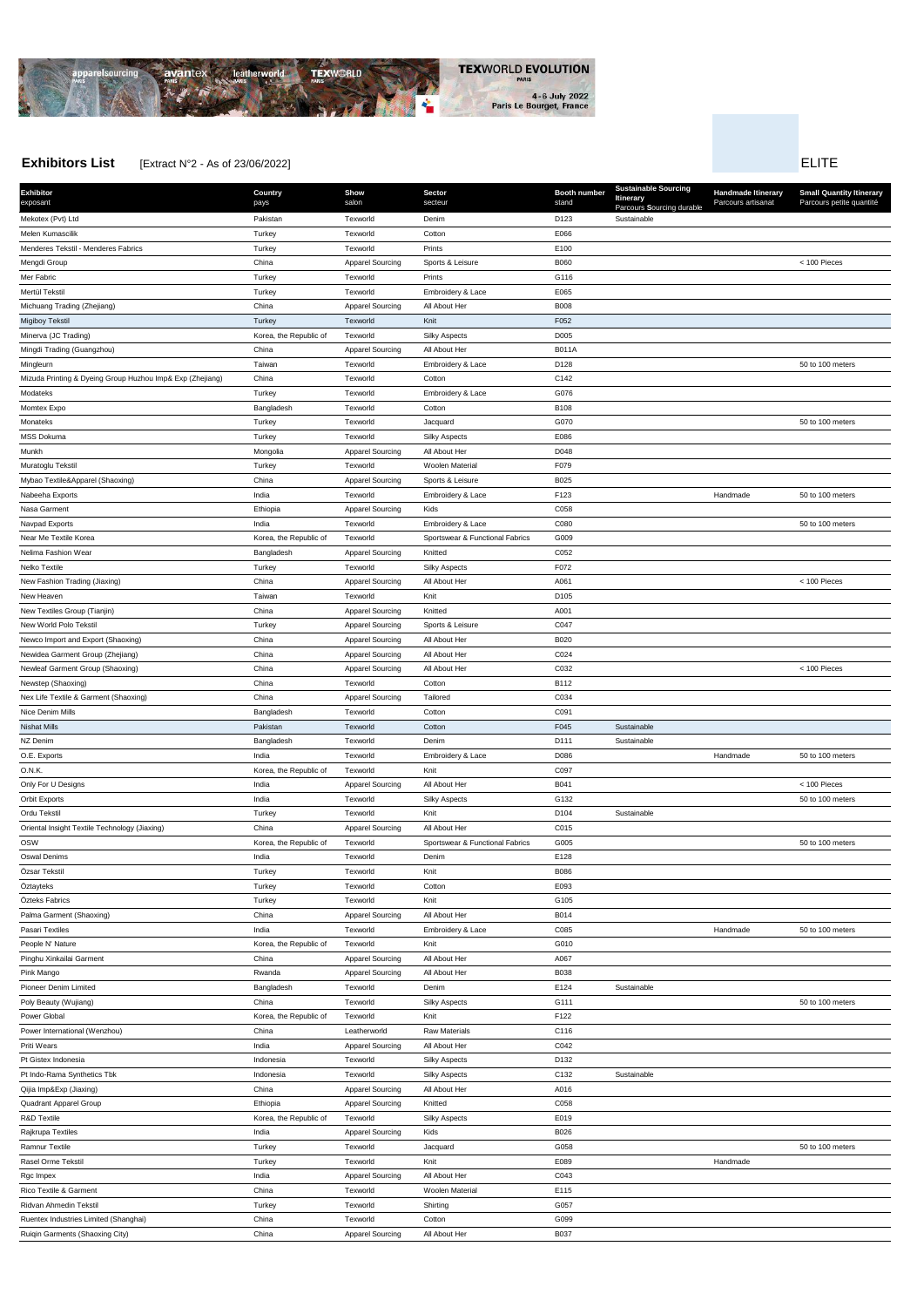

## **Exhibitors List** Extract N°2 - As of 23/06/2022] **ELITE**

**Exhibitor** exposant **Country** pays **Show** salon **Sector** secteur **Booth number** stand **Sustainab Itinerary** Parcours **Handmade Itinerary** Parcours artisanat **Small Quantity Itinerary** Parcours petite quantité Mekotex (Pvt) Ltd Pakistan Texworld Denim D123 Sustainable Melen Kumascilik Turkey Texworld Cotton E066 Menderes Tekstil - Menderes Fabrics **Turkey Turkey Texworld Prints** Prints Prints E100 Mengdi Group China Apparel Sourcing Sports & Leisure B060 < 100 Pieces Mer Fabric Turkey Texworld Prints G116 Mertül Tekstil **Mertül Tekstil Tekstil Türkey** Turkey Texworld Embroidery & Lace E065 Michuang Trading (Zhejiang) **China** China Apparel Sourcing All About Her B008 Migiboy Tekstil Turkey Texworld Knit F052 Minerva (JC Trading) **Minerva (JC Trading)** Corea, the Republic of Texworld Silky Aspects D005 Mingdi Trading (Guangzhou) and the China China Apparel Sourcing All About Her B011A Mingleurn Taiwan Texworld Embroidery & Lace 50 to 100 meters Mizuda Printing & Dyeing Group Huzhou Imp& Exp (Zhejiang) China Texworld Cotton C142 Modateks **Turkey Turkey Texworld Embroidery & Lace** G076 Momtex Expo Bangladesh Texworld Cotton B108 Monateks Turkey Texworld Jacquard G070 50 to 100 meters MSS Dokuma Turkey Texworld Silky Aspects E086 Munkh Munith Mongolia Apparel Sourcing All About Her D048 Muratoglu Tekstil Turkey Texworld Woolen Material F079 Mybao Textile&Apparel (Shaoxing) and China China Apparel Sourcing Sports & Leisure B025 Nabeeha Exports Shandmade South Shandmade South Offering India Texworld Embroidery & Lace F123 Handmade 50 to 100 meters Nasa Garment **Ethiopia Ethiopia** Apparel Sourcing Kids C058 Navpad Exports India Texworld Embroidery & Lace C080 50 to 100 meters Near Me Textile Korea Korea, the Republic of Texworld Sportswear & Functional Fabrics G009 Nelima Fashion Wear **Bangladesh** Bangladesh Apparel Sourcing Knitted C052 Nelko Textile Turkey Texworld Silky Aspects F072 New Fashion Trading (Jiaxing) China China Apparel Sourcing All About Her A061 Apparel Sourcing All About Her A061 < 100 Pieces New Heaven and the control of the Taiwan Taiwan Texworld Text and Knit China and D105 New Textiles Group (Tianjin) China Apparel Sourcing Knitted A001 New World Polo Tekstil **New Yorld Polo Tekstil COAT** Turkey **Apparel Sourcing Sports & Leisure COAT** COAT Newco Import and Export (Shaoxing) China China Apparel Sourcing All About Her B020 Newidea Garment Group (Zhejiang) China China Apparel Sourcing All About Her C024 Newleaf Garment Group (Shaoxing) China China Apparel Sourcing All About Her C032 C032 < 100 Pieces < 100 Pieces Newstep (Shaoxing) China Texworld Cotton B112 Nex Life Textile & Garment (Shaoxing) China China Apparel Sourcing Tailored Co34 Nice Denim Mills Bangladesh Texworld Cotton C091 Nishat Mills Pakistan Texworld Cotton F045 Sustainable NZ Denim and D111 Sustainable Sustainable Bangladesh Texworld Denim Denim D111 D111 Sustainable O.E. Exports Subsection States of the Control of the Texworld Embroidery & Lace No. 2008 D086 Handmade 50 to 100 meters O.N.K. Korea, the Republic of Texworld Knit C097 Only For U Designs Number 2000 Pieces Control of the Apparel Sourcing All About Her B041 B041 CONDING SOURCHER SOURCING ALL ADD Pieces Orbit Exports India Texworld Silky Aspects G132 50 to 100 meters Ordu Tekstil Turkey Texworld Knit D104 Sustainable Oriental Insight Textile Technology (Jiaxing) China China Apparel Sourcing All About Her C015 OSW Sorea, the Republic of Texworld Sportswear & Functional Fabrics G005 6005 50 to 100 meters 50 to 100 meters Oswal Denims India Texworld Denim E128 Özsar Tekstil Turkey Texworld Knit B086 Öztayteks Turkey Texworld Cotton E093 Özteks Fabrics Turkey Texworld Knit G105 Palma Garment (Shaoxing) **China** China Apparel Sourcing All About Her B014 Pasari Textiles **India State India Constant Texworld** Embroidery & Lace CO85 CO85 Handmade 50 to 100 meters People N' Nature Korea, the Republic of Texworld Knit G010 Pinghu Xinkailai Garment China Apparel Sourcing All About Her A067 Pink Mango Rwanda Apparel Sourcing All About Her B038

| Pioneer Denim Limited                 | Bangladesh             | Texworld                | Denim                  | E124             | Sustainable |          |                  |
|---------------------------------------|------------------------|-------------------------|------------------------|------------------|-------------|----------|------------------|
| Poly Beauty (Wujiang)                 | China                  | Texworld                | <b>Silky Aspects</b>   | G111             |             |          | 50 to 100 meters |
| Power Global                          | Korea, the Republic of | Texworld                | Knit                   | F122             |             |          |                  |
| Power International (Wenzhou)         | China                  | Leatherworld            | <b>Raw Materials</b>   | C116             |             |          |                  |
| Priti Wears                           | India                  | <b>Apparel Sourcing</b> | All About Her          | C042             |             |          |                  |
| Pt Gistex Indonesia                   | Indonesia              | Texworld                | <b>Silky Aspects</b>   | D <sub>132</sub> |             |          |                  |
| Pt Indo-Rama Synthetics Tbk           | Indonesia              | Texworld                | <b>Silky Aspects</b>   | C <sub>132</sub> | Sustainable |          |                  |
| Qijia Imp&Exp (Jiaxing)               | China                  | <b>Apparel Sourcing</b> | All About Her          | A016             |             |          |                  |
| Quadrant Apparel Group                | Ethiopia               | <b>Apparel Sourcing</b> | Knitted                | C058             |             |          |                  |
| R&D Textile                           | Korea, the Republic of | Texworld                | <b>Silky Aspects</b>   | E019             |             |          |                  |
| Rajkrupa Textiles                     | India                  | <b>Apparel Sourcing</b> | Kids                   | B026             |             |          |                  |
| <b>Ramnur Textile</b>                 | Turkey                 | Texworld                | Jacquard               | G058             |             |          | 50 to 100 meters |
| Rasel Orme Tekstil                    | Turkey                 | Texworld                | Knit                   | E089             |             | Handmade |                  |
| Rgc Impex                             | India                  | <b>Apparel Sourcing</b> | All About Her          | C043             |             |          |                  |
| Rico Textile & Garment                | China                  | Texworld                | <b>Woolen Material</b> | E115             |             |          |                  |
| Ridvan Ahmedin Tekstil                | Turkey                 | Texworld                | Shirting               | G057             |             |          |                  |
| Ruentex Industries Limited (Shanghai) | China                  | Texworld                | Cotton                 | G099             |             |          |                  |
| Ruigin Garments (Shaoxing City)       | China                  | <b>Apparel Sourcing</b> | All About Her          | <b>B037</b>      |             |          |                  |
|                                       |                        |                         |                        |                  |             |          |                  |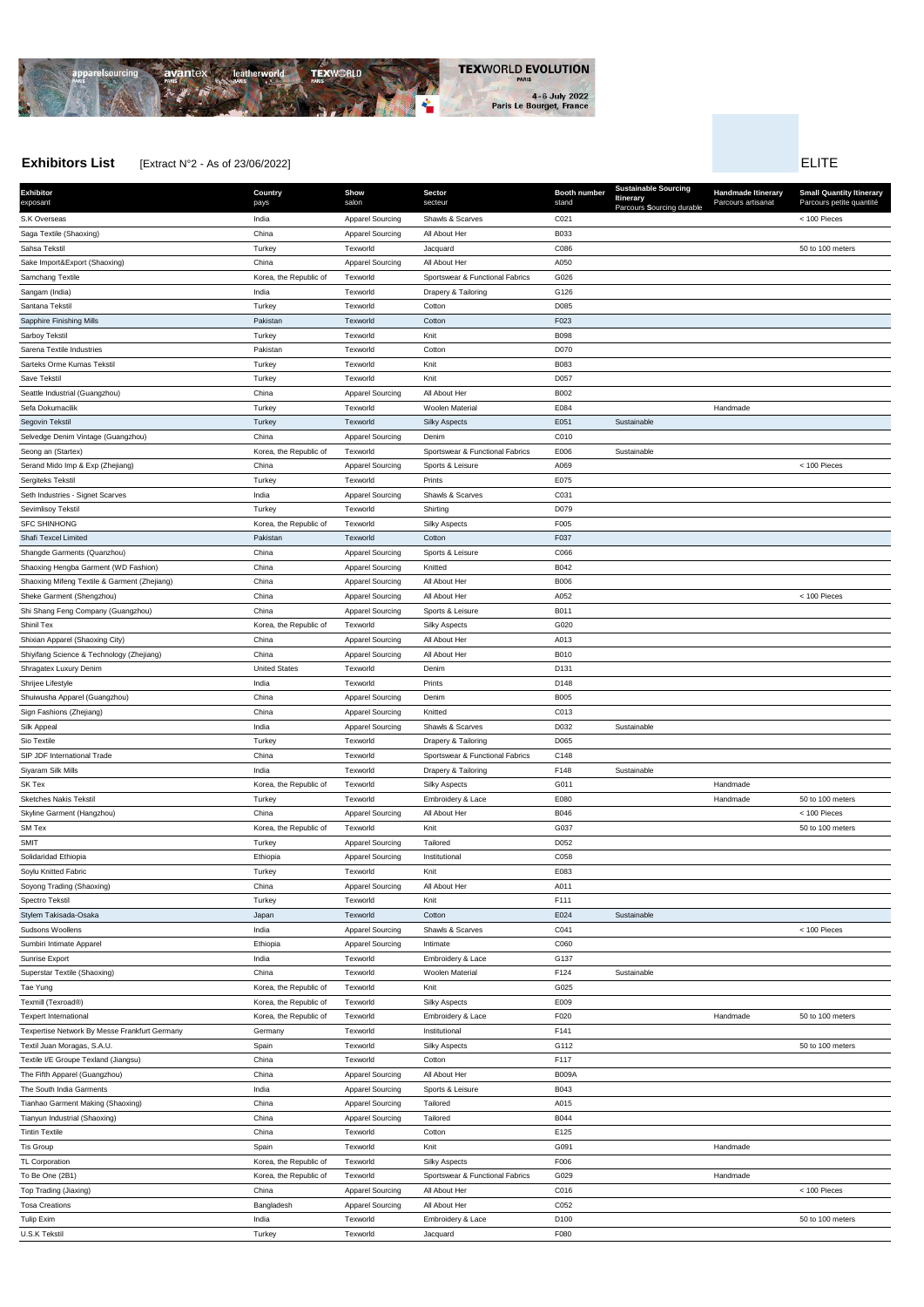

# **Exhibitors List** Extract N°2 - As of 23/06/2022] **ELITE**

**Exhibitor** exposant **Country** pays **Show** salon **Sector** secteur **Booth number** stand **Sustainab Itinerary** Parcours **S**ourcing durable **Handmade Itinerary** Parcours artisanat **Small Quantity Itinerary** Parcours petite quantité S.K Overseas India Apparel Sourcing Shawls & Scarves C021 < 100 Pieces Saga Textile (Shaoxing) **China** China Apparel Sourcing All About Her B033 Sahsa Tekstil Turkey Texworld Jacquard C086 50 to 100 meters Sake Import&Export (Shaoxing) and China China Apparel Sourcing All About Her A050 Samchang Textile **Korea, the Republic of Texworld** Sportswear & Functional Fabrics G026 Sangam (India) **India Networld Drapery & Tailoring G126** C126 Santana Tekstil Turkey Texworld Cotton D085 Sapphire Finishing Mills **Cotton For Containing Mills** Pakistan Texworld Cotton Cotton F023 Sarboy Tekstil Turkey Texworld Knit B098 Sarena Textile Industries **Sarena Textile Industries Cotton** D070 Sarteks Orme Kumas Tekstil **B083 Turkey** Turkey **Texworld Knit Knit B083 B083** Save Tekstil Turkey Texworld Knit D057 Seattle Industrial (Guangzhou) **China** China Apparel Sourcing All About Her B002 Sefa Dokumacilik New Seraya Turkey New Texworld Woolen Material E084 Handmade Handmade Handmade Handmade Handmade Segovin Tekstil Turkey Texworld Silky Aspects E051 Sustainable Selvedge Denim Vintage (Guangzhou) China China Apparel Sourcing Denim C010 Seong an (Startex) **Korea, the Republic of** Texworld Sportswear & Functional Fabrics E006 Sustainable Serand Mido Imp & Exp (Zhejiang) China China Apparel Sourcing Sports & Leisure A069 < 100 Pieces < 100 Pieces Sergiteks Tekstil Turkey Texworld Prints E075 Seth Industries - Signet Scarves **India India** Apparel Sourcing Shawls & Scarves C031 Sevimlisoy Tekstil **Shirting** Dore Contains the Contains Turkey Texture of Texworld Shirting Shirting Dore Dore SFC SHINHONG **Korea, the Republic of Texworld** Silky Aspects F005 Shafi Texcel Limited **Pakistan Pakistan Texworld Cotton Cotton Cotton F037** Shangde Garments (Quanzhou) **China** China Apparel Sourcing Sports & Leisure C066 Shaoxing Hengba Garment (WD Fashion) China China Apparel Sourcing Knitted B042 Shaoxing Mifeng Textile & Garment (Zhejiang) **China** China Apparel Sourcing All About Her B006 Sheke Garment (Shengzhou) China China Apparel Sourcing All About Her A052 < 100 Pieces < 100 Pieces Shi Shang Feng Company (Guangzhou) China China Apparel Sourcing Sports & Leisure B011 Shinil Tex **Shinil Tex** CO20 CO20 Corea, the Republic of Texworld Silky Aspects GO20 CO20 Shixian Apparel (Shaoxing City) **China** China Apparel Sourcing All About Her A013 Shiyifang Science & Technology (Zhejiang) **China** China Apparel Sourcing All About Her B010 Shragatex Luxury Denim **D131** United States Texworld Denim Denim D131 Shrijee Lifestyle India Texworld Prints D148 Shuiwusha Apparel (Guangzhou) and China China Apparel Sourcing Denim Denim B005 **Sign Fashions (Zhejiang)** China China Apparel Sourcing Knitted C013 Silk Appeal **India** India **Apparel Sourcing Shawls & Scarves** D032 Sustainable Sio Textile **Since 2008** Turkey Turkey Texworld Drapery & Tailoring Do65 SIP JDF International Trade China Texworld Sportswear & Functional Fabrics C148 Siyaram Silk Mills **India** India **Networld Drapery & Tailoring Community** Custainable SK Tex **Same Constructs Constructs Constructs** Korea, the Republic of Texworld Silky Aspects G011 G011 G011 Handmade Sketches Nakis Tekstil National Turkey Texworld Embroidery & Lace E080 E090 Handmade 50 to 100 meters Skyline Garment (Hangzhou) **China** China Apparel Sourcing All About Her B046 **Bourgest Apparel Sourcing** All About Her B046 < 100 Pieces SM Tex Shapes Are Republic of Texworld Knit (G037 G037 Shapes Are Shapes Solo 100 meters Solo 100 meters and the Republic of Texworld SMIT SMIT SALL SERVICES Apparel Sourcing Tailored COS2 D052 **Solidaridad Ethiopia Ethiopia Ethiopia Ethiopia** Apparel Sourcing Institutional C058 Soylu Knitted Fabric **Turkey Community Community Community** Turkey Text Texworld Knit Knit Knit E083 Soyong Trading (Shaoxing) **China** China Apparel Sourcing All About Her A011 Spectro Tekstil Turkey Texworld Knit F111 Stylem Takisada-Osaka Japan Japan Japan Texworld Cotton Cotton E024 E024 Sustainable Sudsons Woollens **India Apparel Sourcing Shawls & Scarves** C041 C041 Communications Monotens (100 Pieces Sumbiri Intimate Apparel **Apparel COSO** COSO COSO Ethiopia Apparel Sourcing Intimate Apparel Sourcing COSO Sunrise Export **COLL CONSISTENT CONSISTENT** Export CONSISTENT India Text Text Text Constant Embroidery & Lace G137 Superstar Textile (Shaoxing) China Texworld Woolen Material F124 Sustainable

| Tae Yung                                      | Korea, the Republic of | Texworld                | Knit                            | G025             |          |                  |
|-----------------------------------------------|------------------------|-------------------------|---------------------------------|------------------|----------|------------------|
| Texmill (Texroad®)                            | Korea, the Republic of | Texworld                | <b>Silky Aspects</b>            | E009             |          |                  |
| <b>Texpert International</b>                  | Korea, the Republic of | Texworld                | Embroidery & Lace               | F020             | Handmade | 50 to 100 meters |
| Texpertise Network By Messe Frankfurt Germany | Germany                | Texworld                | Institutional                   | F141             |          |                  |
| Textil Juan Moragas, S.A.U.                   | Spain                  | Texworld                | <b>Silky Aspects</b>            | G112             |          | 50 to 100 meters |
| Textile I/E Groupe Texland (Jiangsu)          | China                  | Texworld                | Cotton                          | F117             |          |                  |
| The Fifth Apparel (Guangzhou)                 | China                  | <b>Apparel Sourcing</b> | All About Her                   | <b>B009A</b>     |          |                  |
| The South India Garments                      | India                  | <b>Apparel Sourcing</b> | Sports & Leisure                | B043             |          |                  |
| Tianhao Garment Making (Shaoxing)             | China                  | <b>Apparel Sourcing</b> | Tailored                        | A015             |          |                  |
| Tianyun Industrial (Shaoxing)                 | China                  | <b>Apparel Sourcing</b> | Tailored                        | <b>B044</b>      |          |                  |
| <b>Tintin Textile</b>                         | China                  | Texworld                | Cotton                          | E125             |          |                  |
| Tis Group                                     | Spain                  | Texworld                | Knit                            | G091             | Handmade |                  |
| TL Corporation                                | Korea, the Republic of | Texworld                | <b>Silky Aspects</b>            | F006             |          |                  |
| To Be One (2B1)                               | Korea, the Republic of | Texworld                | Sportswear & Functional Fabrics | G029             | Handmade |                  |
| Top Trading (Jiaxing)                         | China                  | <b>Apparel Sourcing</b> | All About Her                   | C016             |          | < 100 Pieces     |
| <b>Tosa Creations</b>                         | Bangladesh             | <b>Apparel Sourcing</b> | All About Her                   | C052             |          |                  |
| Tulip Exim                                    | India                  | Texworld                | Embroidery & Lace               | D <sub>100</sub> |          | 50 to 100 meters |
| U.S.K Tekstil                                 | Turkey                 | Texworld                | Jacquard                        | F080             |          |                  |
|                                               |                        |                         |                                 |                  |          |                  |